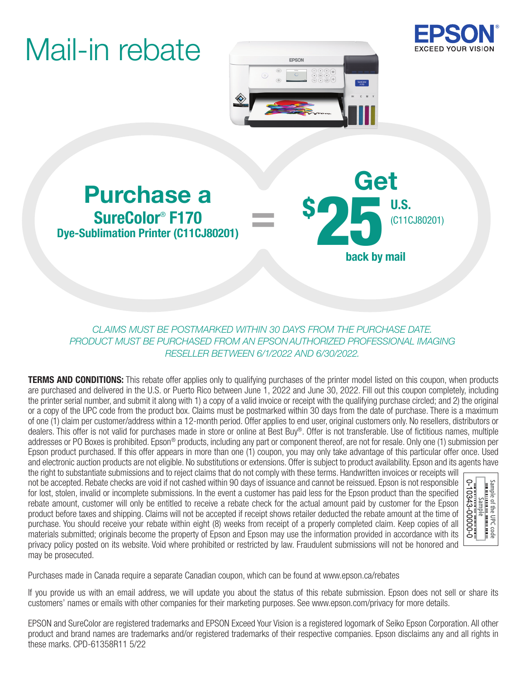# Mail-in rebate





### Purchase a Contract Contract a Contract Contract Contract us. SureColor® F170 Dye-Sublimation Printer (C11CJ80201)

back by mail (C11CJ80201) \$ 25

#### *CLAIMS MUST BE POSTMARKED WITHIN 30 DAYS FROM THE PURCHASE DATE. PRODUCT MUST BE PURCHASED FROM AN EPSON AUTHORIZED PROFESSIONAL IMAGING RESELLER BETWEEN 6/1/2022 AND 6/30/2022.*

=

**TERMS AND CONDITIONS:** This rebate offer applies only to qualifying purchases of the printer model listed on this coupon, when products are purchased and delivered in the U.S. or Puerto Rico between June 1, 2022 and June 30, 2022. Fill out this coupon completely, including the printer serial number, and submit it along with 1) a copy of a valid invoice or receipt with the qualifying purchase circled; and 2) the original or a copy of the UPC code from the product box. Claims must be postmarked within 30 days from the date of purchase. There is a maximum of one (1) claim per customer/address within a 12-month period. Offer applies to end user, original customers only. No resellers, distributors or dealers. This offer is not valid for purchases made in store or online at Best Buy®. Offer is not transferable. Use of fictitious names, multiple addresses or PO Boxes is prohibited. Epson® products, including any part or component thereof, are not for resale. Only one (1) submission per Epson product purchased. If this offer appears in more than one (1) coupon, you may only take advantage of this particular offer once. Used and electronic auction products are not eligible. No substitutions or extensions. Offer is subject to product availability. Epson and its agents have

the right to substantiate submissions and to reject claims that do not comply with these terms. Handwritten invoices or receipts will not be accepted. Rebate checks are void if not cashed within 90 days of issuance and cannot be reissued. Epson is not responsible for lost, stolen, invalid or incomplete submissions. In the event a customer has paid less for the Epson product than the specified rebate amount, customer will only be entitled to receive a rebate check for the actual amount paid by customer for the Epson product before taxes and shipping. Claims will not be accepted if receipt shows retailer deducted the rebate amount at the time of purchase. You should receive your rebate within eight (8) weeks from receipt of a properly completed claim. Keep copies of all materials submitted; originals become the property of Epson and Epson may use the information provided in accordance with its privacy policy posted on its website. Void where prohibited or restricted by law. Fraudulent submissions will not be honored and may be prosecuted.



Purchases made in Canada require a separate Canadian coupon, which can be found at www.epson.ca/rebates

If you provide us with an email address, we will update you about the status of this rebate submission. Epson does not sell or share its customers' names or emails with other companies for their marketing purposes. See www.epson.com/privacy for more details.

EPSON and SureColor are registered trademarks and EPSON Exceed Your Vision is a registered logomark of Seiko Epson Corporation. All other product and brand names are trademarks and/or registered trademarks of their respective companies. Epson disclaims any and all rights in these marks. CPD-61358R11 5/22